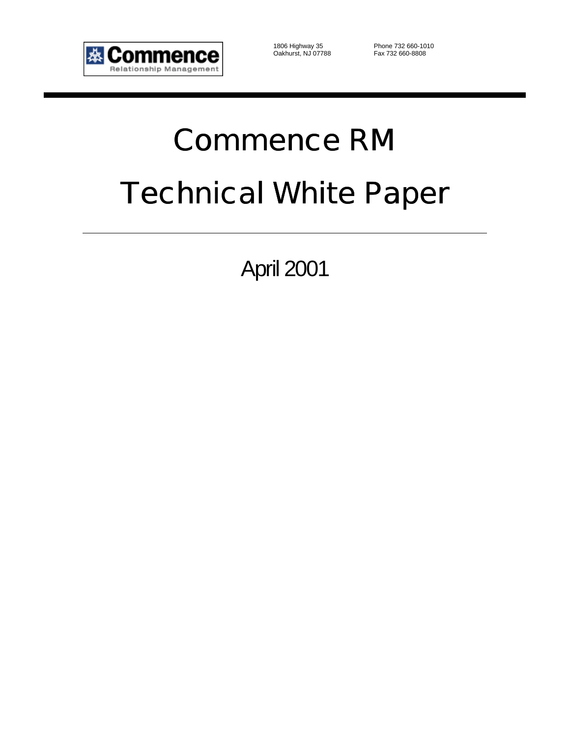

Oakhurst, NJ 07788 Fax 732 660-8808

1806 Highway 35 Phone 732 660-1010

# Commence RM Technical White Paper

April 2001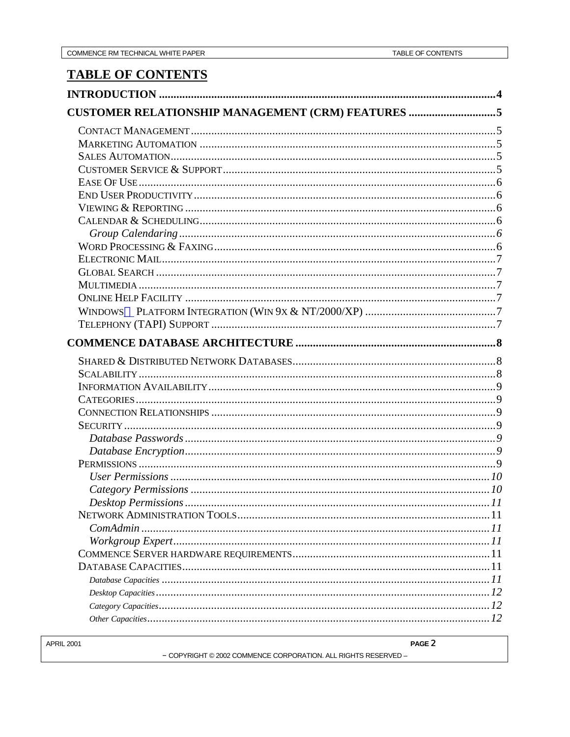PAGE 2

## **TABLE OF CONTENTS**

| CUSTOMER RELATIONSHIP MANAGEMENT (CRM) FEATURES 5 |  |
|---------------------------------------------------|--|
|                                                   |  |
|                                                   |  |
|                                                   |  |
|                                                   |  |
|                                                   |  |
|                                                   |  |
|                                                   |  |
|                                                   |  |
|                                                   |  |
|                                                   |  |
|                                                   |  |
|                                                   |  |
|                                                   |  |
|                                                   |  |
|                                                   |  |
|                                                   |  |
|                                                   |  |
|                                                   |  |
|                                                   |  |
|                                                   |  |
|                                                   |  |
|                                                   |  |
|                                                   |  |
|                                                   |  |
|                                                   |  |
|                                                   |  |
|                                                   |  |
|                                                   |  |
|                                                   |  |
|                                                   |  |
|                                                   |  |
|                                                   |  |
|                                                   |  |
|                                                   |  |
|                                                   |  |
|                                                   |  |
|                                                   |  |
|                                                   |  |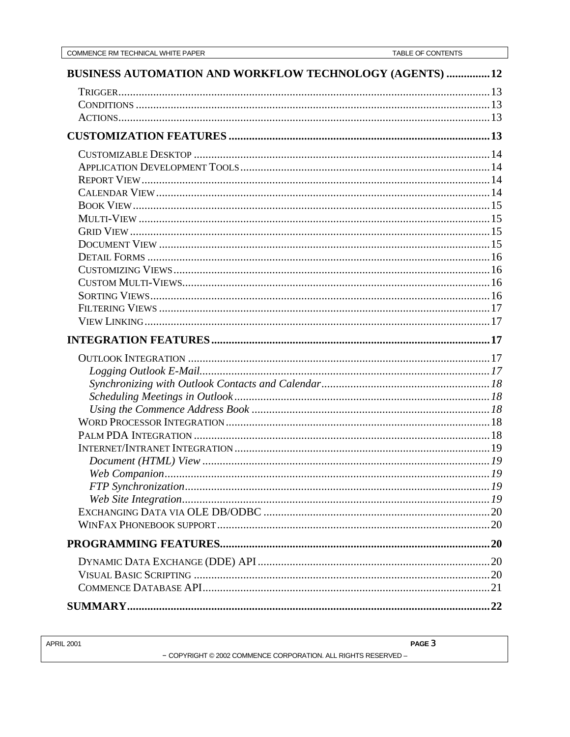| BUSINESS AUTOMATION AND WORKFLOW TECHNOLOGY (AGENTS)  12 |  |
|----------------------------------------------------------|--|
|                                                          |  |
|                                                          |  |
|                                                          |  |
|                                                          |  |
|                                                          |  |
|                                                          |  |
|                                                          |  |
|                                                          |  |
|                                                          |  |
|                                                          |  |
|                                                          |  |
|                                                          |  |
|                                                          |  |
|                                                          |  |
|                                                          |  |
|                                                          |  |
|                                                          |  |
|                                                          |  |
|                                                          |  |
|                                                          |  |
|                                                          |  |
|                                                          |  |
|                                                          |  |
|                                                          |  |
|                                                          |  |
|                                                          |  |
|                                                          |  |
|                                                          |  |
|                                                          |  |
|                                                          |  |
|                                                          |  |
|                                                          |  |
|                                                          |  |
|                                                          |  |
|                                                          |  |
|                                                          |  |
|                                                          |  |
|                                                          |  |

| <b>APRIL 2001</b> |                                                                | PAGE 3 |
|-------------------|----------------------------------------------------------------|--------|
|                   | - COPYRIGHT © 2002 COMMENCE CORPORATION. ALL RIGHTS RESERVED - |        |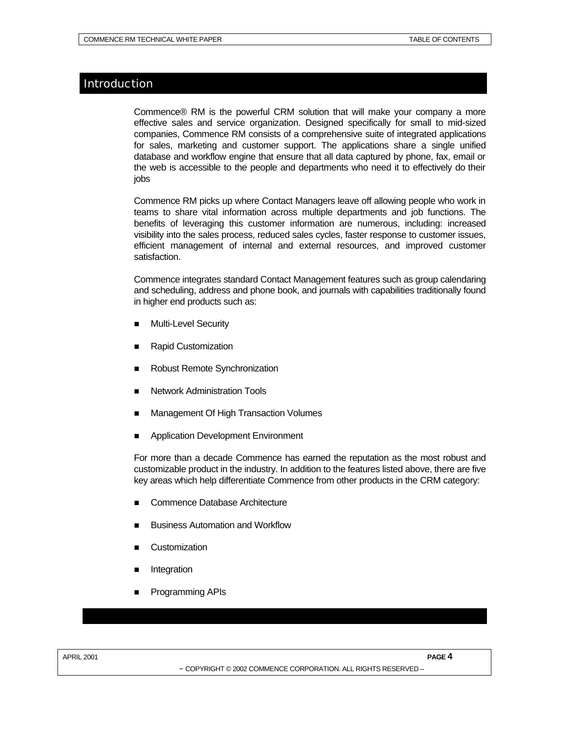## Introduction

Commence® RM is the powerful CRM solution that will make your company a more effective sales and service organization. Designed specifically for small to mid-sized companies, Commence RM consists of a comprehensive suite of integrated applications for sales, marketing and customer support. The applications share a single unified database and workflow engine that ensure that all data captured by phone, fax, email or the web is accessible to the people and departments who need it to effectively do their jobs

Commence RM picks up where Contact Managers leave off allowing people who work in teams to share vital information across multiple departments and job functions. The benefits of leveraging this customer information are numerous, including: increased visibility into the sales process, reduced sales cycles, faster response to customer issues, efficient management of internal and external resources, and improved customer satisfaction.

Commence integrates standard Contact Management features such as group calendaring and scheduling, address and phone book, and journals with capabilities traditionally found in higher end products such as:

- **Multi-Level Security**
- n Rapid Customization
- Robust Remote Synchronization
- Network Administration Tools
- Management Of High Transaction Volumes
- Application Development Environment

For more than a decade Commence has earned the reputation as the most robust and customizable product in the industry. In addition to the features listed above, there are five key areas which help differentiate Commence from other products in the CRM category:

- Commence Database Architecture
- **Business Automation and Workflow**
- **Customization**
- **Integration**
- Programming APIs

APRIL 2001 **PAGE** 4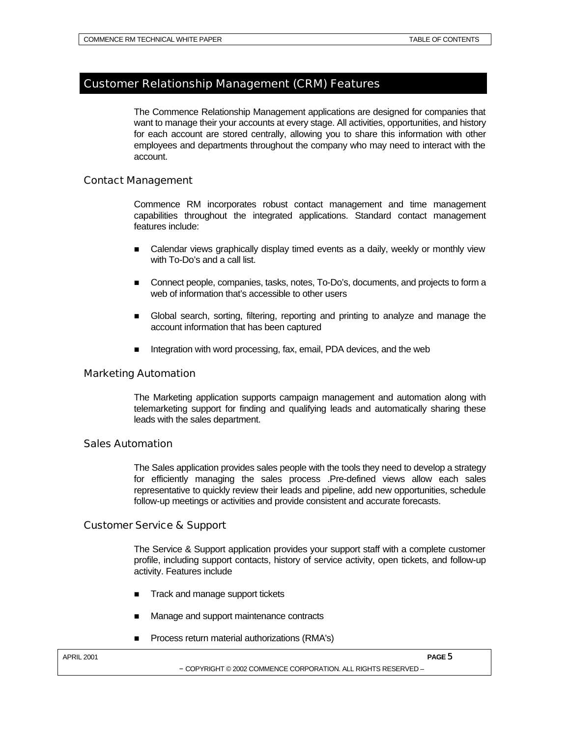## Customer Relationship Management (CRM) Features

The Commence Relationship Management applications are designed for companies that want to manage their your accounts at every stage. All activities, opportunities, and history for each account are stored centrally, allowing you to share this information with other employees and departments throughout the company who may need to interact with the account.

## Contact Management

Commence RM incorporates robust contact management and time management capabilities throughout the integrated applications. Standard contact management features include:

- **n** Calendar views graphically display timed events as a daily, weekly or monthly view with To-Do's and a call list.
- n Connect people, companies, tasks, notes, To-Do's, documents, and projects to form a web of information that's accessible to other users
- n Global search, sorting, filtering, reporting and printing to analyze and manage the account information that has been captured
- Integration with word processing, fax, email, PDA devices, and the web

## Marketing Automation

The Marketing application supports campaign management and automation along with telemarketing support for finding and qualifying leads and automatically sharing these leads with the sales department.

## Sales Automation

The Sales application provides sales people with the tools they need to develop a strategy for efficiently managing the sales process .Pre-defined views allow each sales representative to quickly review their leads and pipeline, add new opportunities, schedule follow-up meetings or activities and provide consistent and accurate forecasts.

## Customer Service & Support

The Service & Support application provides your support staff with a complete customer profile, including support contacts, history of service activity, open tickets, and follow-up activity. Features include

- Track and manage support tickets
- Manage and support maintenance contracts
- Process return material authorizations (RMA's)

APRIL 2001 **PAGE** 5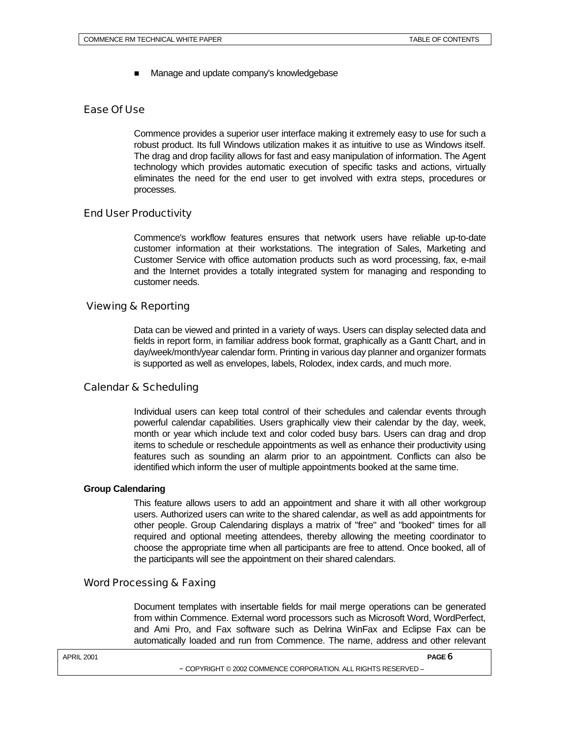Manage and update company's knowledgebase

## Ease Of Use

Commence provides a superior user interface making it extremely easy to use for such a robust product. Its full Windows utilization makes it as intuitive to use as Windows itself. The drag and drop facility allows for fast and easy manipulation of information. The Agent technology which provides automatic execution of specific tasks and actions, virtually eliminates the need for the end user to get involved with extra steps, procedures or processes.

## End User Productivity

Commence's workflow features ensures that network users have reliable up-to-date customer information at their workstations. The integration of Sales, Marketing and Customer Service with office automation products such as word processing, fax, e-mail and the Internet provides a totally integrated system for managing and responding to customer needs.

## Viewing & Reporting

Data can be viewed and printed in a variety of ways. Users can display selected data and fields in report form, in familiar address book format, graphically as a Gantt Chart, and in day/week/month/year calendar form. Printing in various day planner and organizer formats is supported as well as envelopes, labels, Rolodex, index cards, and much more.

## Calendar & Scheduling

Individual users can keep total control of their schedules and calendar events through powerful calendar capabilities. Users graphically view their calendar by the day, week, month or year which include text and color coded busy bars. Users can drag and drop items to schedule or reschedule appointments as well as enhance their productivity using features such as sounding an alarm prior to an appointment. Conflicts can also be identified which inform the user of multiple appointments booked at the same time.

## **Group Calendaring**

This feature allows users to add an appointment and share it with all other workgroup users. Authorized users can write to the shared calendar, as well as add appointments for other people. Group Calendaring displays a matrix of "free" and "booked" times for all required and optional meeting attendees, thereby allowing the meeting coordinator to choose the appropriate time when all participants are free to attend. Once booked, all of the participants will see the appointment on their shared calendars.

## Word Processing & Faxing

Document templates with insertable fields for mail merge operations can be generated from within Commence. External word processors such as Microsoft Word, WordPerfect, and Ami Pro, and Fax software such as Delrina WinFax and Eclipse Fax can be automatically loaded and run from Commence. The name, address and other relevant

| PAGE 6 |
|--------|
|        |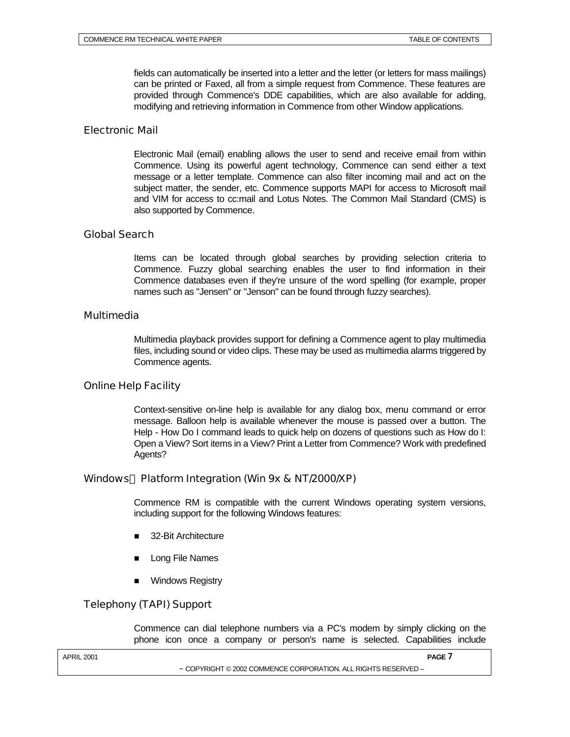fields can automatically be inserted into a letter and the letter (or letters for mass mailings) can be printed or Faxed, all from a simple request from Commence. These features are provided through Commence's DDE capabilities, which are also available for adding, modifying and retrieving information in Commence from other Window applications.

## Electronic Mail

Electronic Mail (email) enabling allows the user to send and receive email from within Commence. Using its powerful agent technology, Commence can send either a text message or a letter template. Commence can also filter incoming mail and act on the subject matter, the sender, etc. Commence supports MAPI for access to Microsoft mail and VIM for access to cc:mail and Lotus Notes. The Common Mail Standard (CMS) is also supported by Commence.

## Global Search

Items can be located through global searches by providing selection criteria to Commence. Fuzzy global searching enables the user to find information in their Commence databases even if they're unsure of the word spelling (for example, proper names such as "Jensen" or "Jenson" can be found through fuzzy searches).

## Multimedia

Multimedia playback provides support for defining a Commence agent to play multimedia files, including sound or video clips. These may be used as multimedia alarms triggered by Commence agents.

## Online Help Facility

Context-sensitive on-line help is available for any dialog box, menu command or error message. Balloon help is available whenever the mouse is passed over a button. The Help - How Do I command leads to quick help on dozens of questions such as How do I: Open a View? Sort items in a View? Print a Letter from Commence? Work with predefined Agents?

## Windows<sup> $TM$ </sup> Platform Integration (Win 9x & NT/2000/XP)

Commence RM is compatible with the current Windows operating system versions, including support for the following Windows features:

- 32-Bit Architecture
- Long File Names
- **Nindows Registry**

## Telephony (TAPI) Support

Commence can dial telephone numbers via a PC's modem by simply clicking on the phone icon once a company or person's name is selected. Capabilities include

APRIL 2001 **PAGE** 7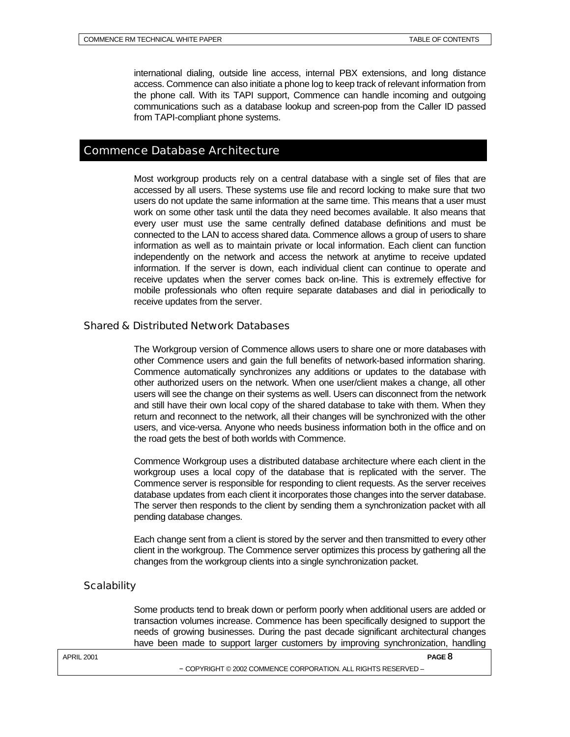international dialing, outside line access, internal PBX extensions, and long distance access. Commence can also initiate a phone log to keep track of relevant information from the phone call. With its TAPI support, Commence can handle incoming and outgoing communications such as a database lookup and screen-pop from the Caller ID passed from TAPI-compliant phone systems.

## Commence Database Architecture

Most workgroup products rely on a central database with a single set of files that are accessed by all users. These systems use file and record locking to make sure that two users do not update the same information at the same time. This means that a user must work on some other task until the data they need becomes available. It also means that every user must use the same centrally defined database definitions and must be connected to the LAN to access shared data. Commence allows a group of users to share information as well as to maintain private or local information. Each client can function independently on the network and access the network at anytime to receive updated information. If the server is down, each individual client can continue to operate and receive updates when the server comes back on-line. This is extremely effective for mobile professionals who often require separate databases and dial in periodically to receive updates from the server.

## Shared & Distributed Network Databases

The Workgroup version of Commence allows users to share one or more databases with other Commence users and gain the full benefits of network-based information sharing. Commence automatically synchronizes any additions or updates to the database with other authorized users on the network. When one user/client makes a change, all other users will see the change on their systems as well. Users can disconnect from the network and still have their own local copy of the shared database to take with them. When they return and reconnect to the network, all their changes will be synchronized with the other users, and vice-versa. Anyone who needs business information both in the office and on the road gets the best of both worlds with Commence.

Commence Workgroup uses a distributed database architecture where each client in the workgroup uses a local copy of the database that is replicated with the server. The Commence server is responsible for responding to client requests. As the server receives database updates from each client it incorporates those changes into the server database. The server then responds to the client by sending them a synchronization packet with all pending database changes.

Each change sent from a client is stored by the server and then transmitted to every other client in the workgroup. The Commence server optimizes this process by gathering all the changes from the workgroup clients into a single synchronization packet.

## **Scalability**

Some products tend to break down or perform poorly when additional users are added or transaction volumes increase. Commence has been specifically designed to support the needs of growing businesses. During the past decade significant architectural changes have been made to support larger customers by improving synchronization, handling

APRIL 2001 **PAGE** 8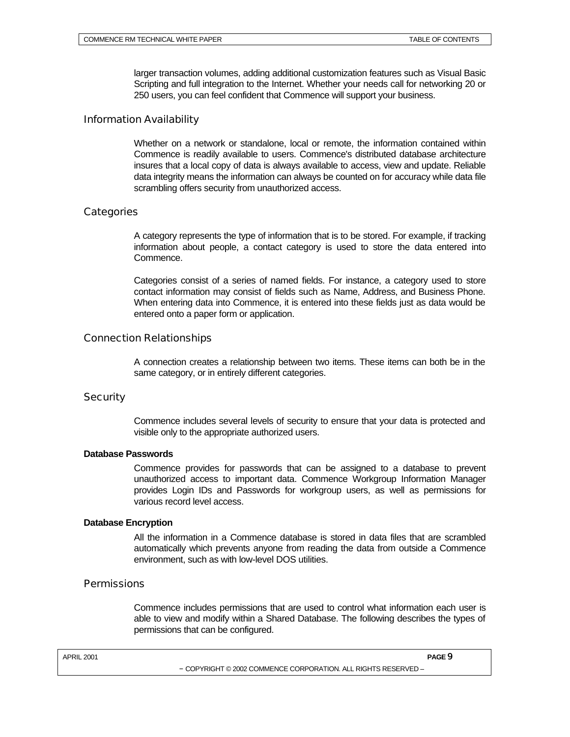larger transaction volumes, adding additional customization features such as Visual Basic Scripting and full integration to the Internet. Whether your needs call for networking 20 or 250 users, you can feel confident that Commence will support your business.

## Information Availability

Whether on a network or standalone, local or remote, the information contained within Commence is readily available to users. Commence's distributed database architecture insures that a local copy of data is always available to access, view and update. Reliable data integrity means the information can always be counted on for accuracy while data file scrambling offers security from unauthorized access.

## **Categories**

A category represents the type of information that is to be stored. For example, if tracking information about people, a contact category is used to store the data entered into Commence.

Categories consist of a series of named fields. For instance, a category used to store contact information may consist of fields such as Name, Address, and Business Phone. When entering data into Commence, it is entered into these fields just as data would be entered onto a paper form or application.

## Connection Relationships

A connection creates a relationship between two items. These items can both be in the same category, or in entirely different categories.

## **Security**

Commence includes several levels of security to ensure that your data is protected and visible only to the appropriate authorized users.

## **Database Passwords**

Commence provides for passwords that can be assigned to a database to prevent unauthorized access to important data. Commence Workgroup Information Manager provides Login IDs and Passwords for workgroup users, as well as permissions for various record level access.

## **Database Encryption**

All the information in a Commence database is stored in data files that are scrambled automatically which prevents anyone from reading the data from outside a Commence environment, such as with low-level DOS utilities.

## **Permissions**

Commence includes permissions that are used to control what information each user is able to view and modify within a Shared Database. The following describes the types of permissions that can be configured.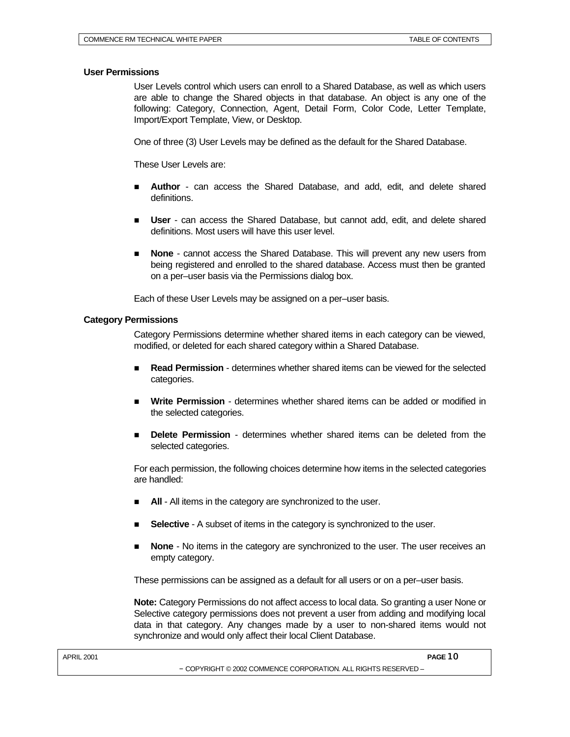#### **User Permissions**

User Levels control which users can enroll to a Shared Database, as well as which users are able to change the Shared objects in that database. An object is any one of the following: Category, Connection, Agent, Detail Form, Color Code, Letter Template, Import/Export Template, View, or Desktop.

One of three (3) User Levels may be defined as the default for the Shared Database.

These User Levels are:

- n **Author**  can access the Shared Database, and add, edit, and delete shared definitions.
- **user** can access the Shared Database, but cannot add, edit, and delete shared definitions. Most users will have this user level.
- n **None**  cannot access the Shared Database. This will prevent any new users from being registered and enrolled to the shared database. Access must then be granted on a per–user basis via the Permissions dialog box.

Each of these User Levels may be assigned on a per–user basis.

#### **Category Permissions**

Category Permissions determine whether shared items in each category can be viewed, modified, or deleted for each shared category within a Shared Database.

- n **Read Permission**  determines whether shared items can be viewed for the selected categories.
- **Nite Permission** determines whether shared items can be added or modified in the selected categories.
- n **Delete Permission**  determines whether shared items can be deleted from the selected categories.

For each permission, the following choices determine how items in the selected categories are handled:

- All All items in the category are synchronized to the user.
- **Selective** A subset of items in the category is synchronized to the user.
- **None** No items in the category are synchronized to the user. The user receives an empty category.

These permissions can be assigned as a default for all users or on a per–user basis.

**Note:** Category Permissions do not affect access to local data. So granting a user None or Selective category permissions does not prevent a user from adding and modifying local data in that category. Any changes made by a user to non-shared items would not synchronize and would only affect their local Client Database.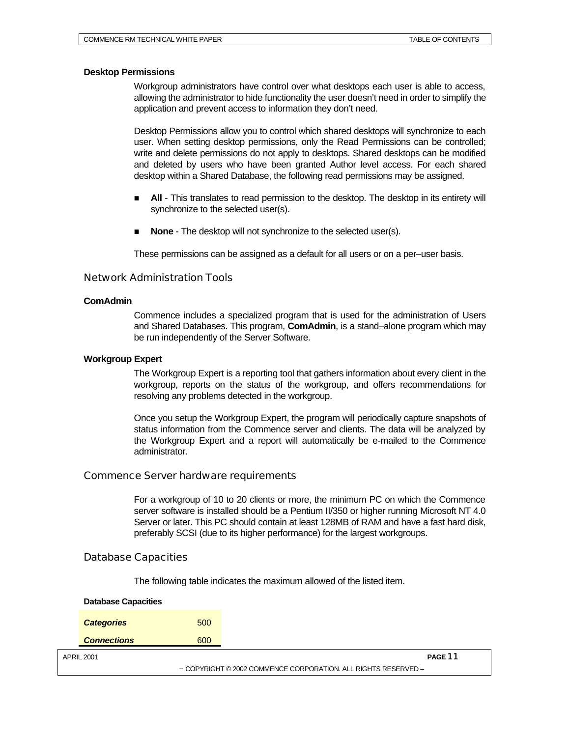#### **Desktop Permissions**

Workgroup administrators have control over what desktops each user is able to access, allowing the administrator to hide functionality the user doesn't need in order to simplify the application and prevent access to information they don't need.

Desktop Permissions allow you to control which shared desktops will synchronize to each user. When setting desktop permissions, only the Read Permissions can be controlled; write and delete permissions do not apply to desktops. Shared desktops can be modified and deleted by users who have been granted Author level access. For each shared desktop within a Shared Database, the following read permissions may be assigned.

- All This translates to read permission to the desktop. The desktop in its entirety will synchronize to the selected user(s).
- **None** The desktop will not synchronize to the selected user(s).

These permissions can be assigned as a default for all users or on a per–user basis.

#### Network Administration Tools

#### **ComAdmin**

Commence includes a specialized program that is used for the administration of Users and Shared Databases. This program, **ComAdmin**, is a stand–alone program which may be run independently of the Server Software.

#### **Workgroup Expert**

The Workgroup Expert is a reporting tool that gathers information about every client in the workgroup, reports on the status of the workgroup, and offers recommendations for resolving any problems detected in the workgroup.

Once you setup the Workgroup Expert, the program will periodically capture snapshots of status information from the Commence server and clients. The data will be analyzed by the Workgroup Expert and a report will automatically be e-mailed to the Commence administrator.

## Commence Server hardware requirements

For a workgroup of 10 to 20 clients or more, the minimum PC on which the Commence server software is installed should be a Pentium II/350 or higher running Microsoft NT 4.0 Server or later. This PC should contain at least 128MB of RAM and have a fast hard disk, preferably SCSI (due to its higher performance) for the largest workgroups.

## Database Capacities

The following table indicates the maximum allowed of the listed item.

| <b>Database Capacities</b>                                     |     |         |
|----------------------------------------------------------------|-----|---------|
| <b>Categories</b>                                              | 500 |         |
| <b>Connections</b>                                             | 600 |         |
| <b>APRIL 2001</b>                                              |     | PAGE 11 |
| - COPYRIGHT © 2002 COMMENCE CORPORATION. ALL RIGHTS RESERVED - |     |         |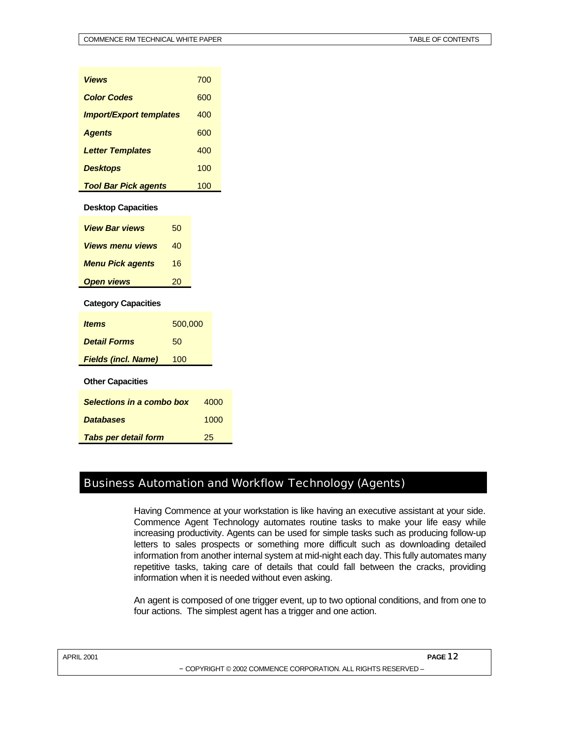| Views                          |         | 700 |      |
|--------------------------------|---------|-----|------|
| <b>Color Codes</b>             |         | 600 |      |
| <b>Import/Export templates</b> |         | 400 |      |
| <b>Agents</b>                  |         | 600 |      |
| <b>Letter Templates</b>        |         | 400 |      |
| <b>Desktops</b>                |         | 100 |      |
| <b>Tool Bar Pick agents</b>    |         | 100 |      |
| <b>Desktop Capacities</b>      |         |     |      |
| <b>View Bar views</b>          | 50      |     |      |
| <b>Views menu views</b>        | 40      |     |      |
| <b>Menu Pick agents</b>        | 16      |     |      |
| <b>Open views</b>              | 20      |     |      |
| <b>Category Capacities</b>     |         |     |      |
| ltems                          | 500,000 |     |      |
| <b>Detail Forms</b>            | 50      |     |      |
| <b>Fields (incl. Name)</b>     | 100     |     |      |
| <b>Other Capacities</b>        |         |     |      |
| Selections in a combo box      |         |     | 4000 |
| <b>Databases</b>               |         |     | 1000 |
| <b>Tabs per detail form</b>    |         | 25  |      |

## Business Automation and Workflow Technology (Agents)

Having Commence at your workstation is like having an executive assistant at your side. Commence Agent Technology automates routine tasks to make your life easy while increasing productivity. Agents can be used for simple tasks such as producing follow-up letters to sales prospects or something more difficult such as downloading detailed information from another internal system at mid-night each day. This fully automates many repetitive tasks, taking care of details that could fall between the cracks, providing information when it is needed without even asking.

An agent is composed of one trigger event, up to two optional conditions, and from one to four actions. The simplest agent has a trigger and one action.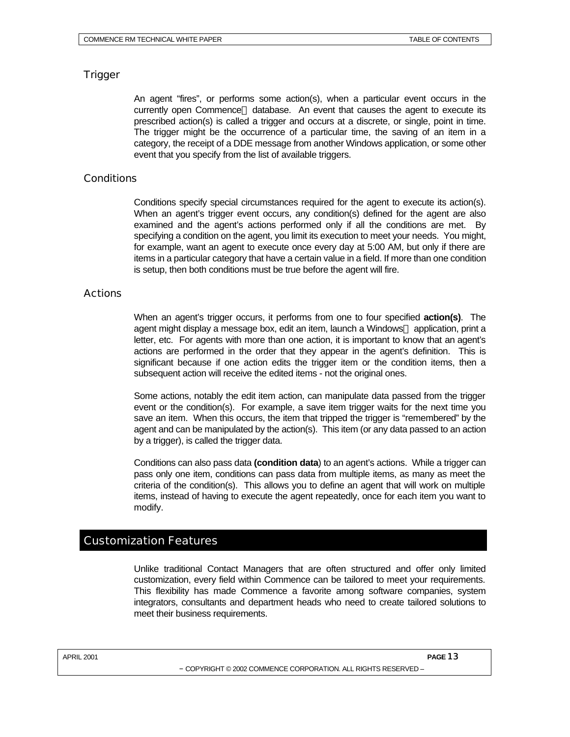## **Trigger**

An agent "fires", or performs some action(s), when a particular event occurs in the currently open Commence® database. An event that causes the agent to execute its prescribed action(s) is called a trigger and occurs at a discrete, or single, point in time. The trigger might be the occurrence of a particular time, the saving of an item in a category, the receipt of a DDE message from another Windows application, or some other event that you specify from the list of available triggers.

## **Conditions**

Conditions specify special circumstances required for the agent to execute its action(s). When an agent's trigger event occurs, any condition(s) defined for the agent are also examined and the agent's actions performed only if all the conditions are met. By specifying a condition on the agent, you limit its execution to meet your needs. You might, for example, want an agent to execute once every day at 5:00 AM, but only if there are items in a particular category that have a certain value in a field. If more than one condition is setup, then both conditions must be true before the agent will fire.

## **Actions**

When an agent's trigger occurs, it performs from one to four specified **action(s)**. The agent might display a message box, edit an item, launch a Windows<sup> $m$ </sup> application, print a letter, etc. For agents with more than one action, it is important to know that an agent's actions are performed in the order that they appear in the agent's definition. This is significant because if one action edits the trigger item or the condition items, then a subsequent action will receive the edited items - not the original ones.

Some actions, notably the edit item action, can manipulate data passed from the trigger event or the condition(s). For example, a save item trigger waits for the next time you save an item. When this occurs, the item that tripped the trigger is "remembered" by the agent and can be manipulated by the action(s). This item (or any data passed to an action by a trigger), is called the trigger data.

Conditions can also pass data **(condition data**) to an agent's actions. While a trigger can pass only one item, conditions can pass data from multiple items, as many as meet the criteria of the condition(s). This allows you to define an agent that will work on multiple items, instead of having to execute the agent repeatedly, once for each item you want to modify.

## Customization Features

Unlike traditional Contact Managers that are often structured and offer only limited customization, every field within Commence can be tailored to meet your requirements. This flexibility has made Commence a favorite among software companies, system integrators, consultants and department heads who need to create tailored solutions to meet their business requirements.

APRIL 2001 **PAGE** 13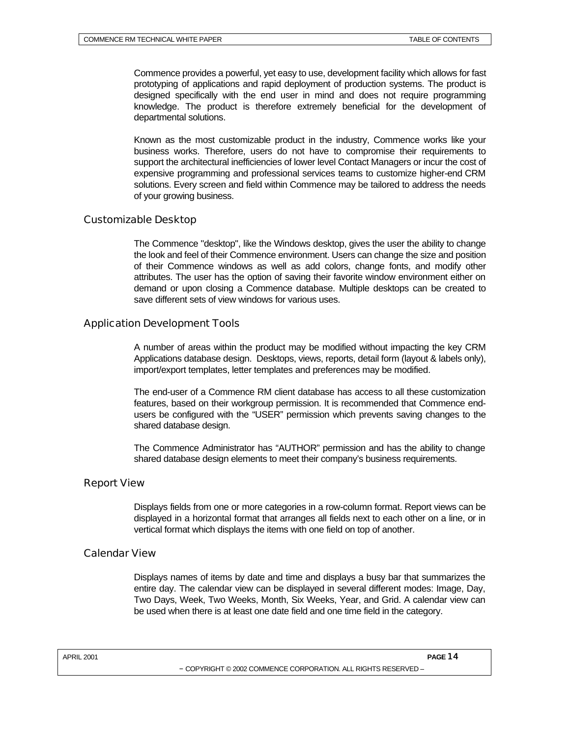Commence provides a powerful, yet easy to use, development facility which allows for fast prototyping of applications and rapid deployment of production systems. The product is designed specifically with the end user in mind and does not require programming knowledge. The product is therefore extremely beneficial for the development of departmental solutions.

Known as the most customizable product in the industry, Commence works like your business works. Therefore, users do not have to compromise their requirements to support the architectural inefficiencies of lower level Contact Managers or incur the cost of expensive programming and professional services teams to customize higher-end CRM solutions. Every screen and field within Commence may be tailored to address the needs of your growing business.

## Customizable Desktop

The Commence "desktop", like the Windows desktop, gives the user the ability to change the look and feel of their Commence environment. Users can change the size and position of their Commence windows as well as add colors, change fonts, and modify other attributes. The user has the option of saving their favorite window environment either on demand or upon closing a Commence database. Multiple desktops can be created to save different sets of view windows for various uses.

## Application Development Tools

A number of areas within the product may be modified without impacting the key CRM Applications database design. Desktops, views, reports, detail form (layout & labels only), import/export templates, letter templates and preferences may be modified.

The end-user of a Commence RM client database has access to all these customization features, based on their workgroup permission. It is recommended that Commence endusers be configured with the "USER" permission which prevents saving changes to the shared database design.

The Commence Administrator has "AUTHOR" permission and has the ability to change shared database design elements to meet their company's business requirements.

## Report View

Displays fields from one or more categories in a row-column format. Report views can be displayed in a horizontal format that arranges all fields next to each other on a line, or in vertical format which displays the items with one field on top of another.

## Calendar View

Displays names of items by date and time and displays a busy bar that summarizes the entire day. The calendar view can be displayed in several different modes: Image, Day, Two Days, Week, Two Weeks, Month, Six Weeks, Year, and Grid. A calendar view can be used when there is at least one date field and one time field in the category.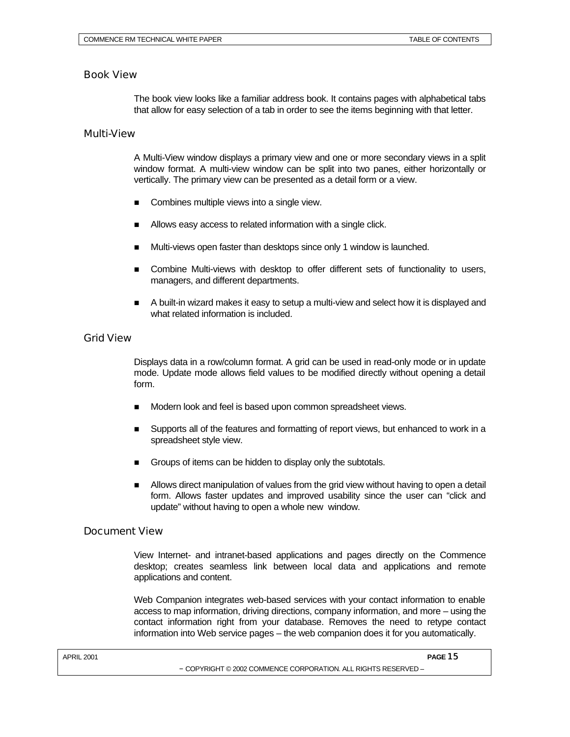## Book View

The book view looks like a familiar address book. It contains pages with alphabetical tabs that allow for easy selection of a tab in order to see the items beginning with that letter.

#### Multi-View

A Multi-View window displays a primary view and one or more secondary views in a split window format. A multi-view window can be split into two panes, either horizontally or vertically. The primary view can be presented as a detail form or a view.

- Combines multiple views into a single view.
- Allows easy access to related information with a single click.
- Multi-views open faster than desktops since only 1 window is launched.
- Combine Multi-views with desktop to offer different sets of functionality to users, managers, and different departments.
- n A built-in wizard makes it easy to setup a multi-view and select how it is displayed and what related information is included.

#### Grid View

Displays data in a row/column format. A grid can be used in read-only mode or in update mode. Update mode allows field values to be modified directly without opening a detail form.

- $\blacksquare$  Modern look and feel is based upon common spreadsheet views.
- Supports all of the features and formatting of report views, but enhanced to work in a spreadsheet style view.
- Groups of items can be hidden to display only the subtotals.
- n Allows direct manipulation of values from the grid view without having to open a detail form. Allows faster updates and improved usability since the user can "click and update" without having to open a whole new window.

## Document View

View Internet- and intranet-based applications and pages directly on the Commence desktop; creates seamless link between local data and applications and remote applications and content.

Web Companion integrates web-based services with your contact information to enable access to map information, driving directions, company information, and more – using the contact information right from your database. Removes the need to retype contact information into Web service pages – the web companion does it for you automatically.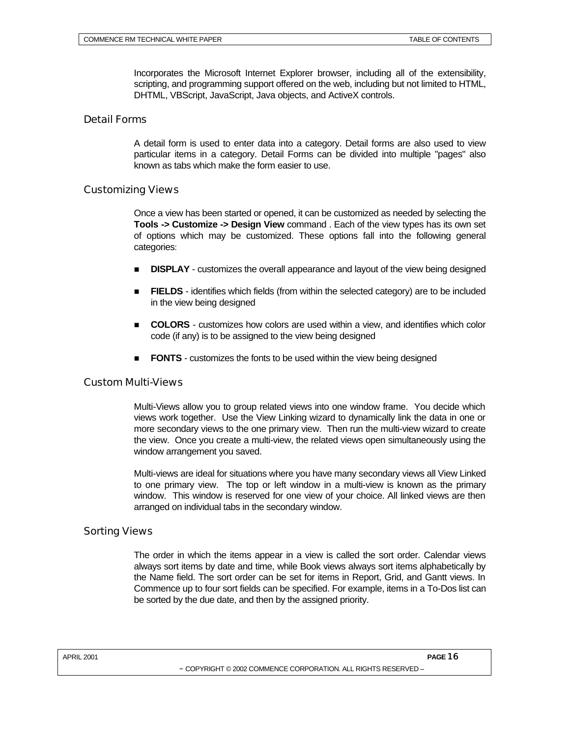Incorporates the Microsoft Internet Explorer browser, including all of the extensibility, scripting, and programming support offered on the web, including but not limited to HTML, DHTML, VBScript, JavaScript, Java objects, and ActiveX controls.

## Detail Forms

A detail form is used to enter data into a category. Detail forms are also used to view particular items in a category. Detail Forms can be divided into multiple "pages" also known as tabs which make the form easier to use.

## Customizing Views

Once a view has been started or opened, it can be customized as needed by selecting the **Tools -> Customize -> Design View** command . Each of the view types has its own set of options which may be customized. These options fall into the following general categories:

- **DISPLAY** customizes the overall appearance and layout of the view being designed
- FIELDS identifies which fields (from within the selected category) are to be included in the view being designed
- n **COLORS** customizes how colors are used within a view, and identifies which color code (if any) is to be assigned to the view being designed
- **FONTS** customizes the fonts to be used within the view being designed

## Custom Multi-Views

Multi-Views allow you to group related views into one window frame. You decide which views work together. Use the View Linking wizard to dynamically link the data in one or more secondary views to the one primary view. Then run the multi-view wizard to create the view. Once you create a multi-view, the related views open simultaneously using the window arrangement you saved.

Multi-views are ideal for situations where you have many secondary views all View Linked to one primary view. The top or left window in a multi-view is known as the primary window. This window is reserved for one view of your choice. All linked views are then arranged on individual tabs in the secondary window.

## Sorting Views

The order in which the items appear in a view is called the sort order. Calendar views always sort items by date and time, while Book views always sort items alphabetically by the Name field. The sort order can be set for items in Report, Grid, and Gantt views. In Commence up to four sort fields can be specified. For example, items in a To-Dos list can be sorted by the due date, and then by the assigned priority.

APRIL 2001 **PAGE** 16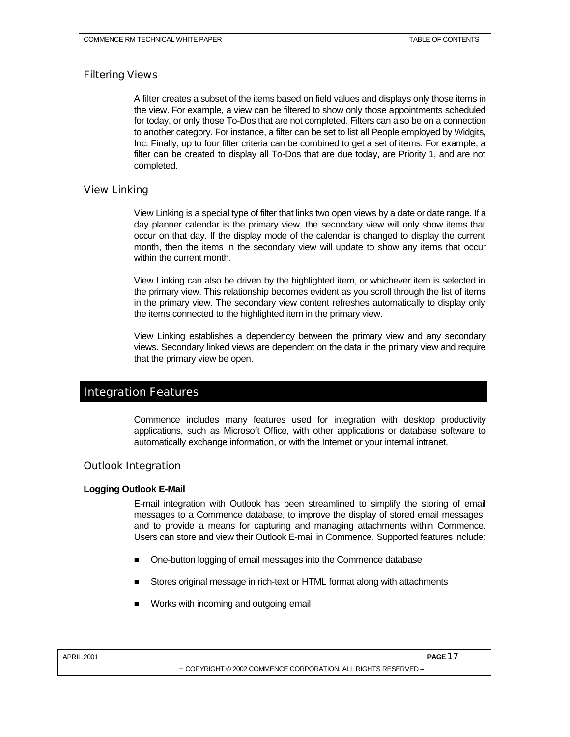## Filtering Views

A filter creates a subset of the items based on field values and displays only those items in the view. For example, a view can be filtered to show only those appointments scheduled for today, or only those To-Dos that are not completed. Filters can also be on a connection to another category. For instance, a filter can be set to list all People employed by Widgits, Inc. Finally, up to four filter criteria can be combined to get a set of items. For example, a filter can be created to display all To-Dos that are due today, are Priority 1, and are not completed.

## View Linking

View Linking is a special type of filter that links two open views by a date or date range. If a day planner calendar is the primary view, the secondary view will only show items that occur on that day. If the display mode of the calendar is changed to display the current month, then the items in the secondary view will update to show any items that occur within the current month.

View Linking can also be driven by the highlighted item, or whichever item is selected in the primary view. This relationship becomes evident as you scroll through the list of items in the primary view. The secondary view content refreshes automatically to display only the items connected to the highlighted item in the primary view.

View Linking establishes a dependency between the primary view and any secondary views. Secondary linked views are dependent on the data in the primary view and require that the primary view be open.

## Integration Features

Commence includes many features used for integration with desktop productivity applications, such as Microsoft Office, with other applications or database software to automatically exchange information, or with the Internet or your internal intranet.

## Outlook Integration

## **Logging Outlook E-Mail**

E-mail integration with Outlook has been streamlined to simplify the storing of email messages to a Commence database, to improve the display of stored email messages, and to provide a means for capturing and managing attachments within Commence. Users can store and view their Outlook E-mail in Commence. Supported features include:

- One-button logging of email messages into the Commence database
- Stores original message in rich-text or HTML format along with attachments
- Works with incoming and outgoing email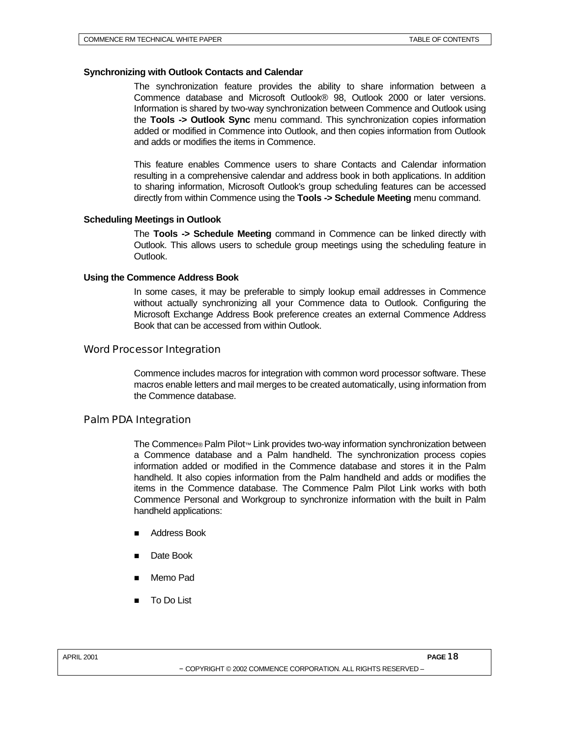#### **Synchronizing with Outlook Contacts and Calendar**

The synchronization feature provides the ability to share information between a Commence database and Microsoft Outlook® 98, Outlook 2000 or later versions. Information is shared by two-way synchronization between Commence and Outlook using the **Tools -> Outlook Sync** menu command. This synchronization copies information added or modified in Commence into Outlook, and then copies information from Outlook and adds or modifies the items in Commence.

This feature enables Commence users to share Contacts and Calendar information resulting in a comprehensive calendar and address book in both applications. In addition to sharing information, Microsoft Outlook's group scheduling features can be accessed directly from within Commence using the **Tools -> Schedule Meeting** menu command.

#### **Scheduling Meetings in Outlook**

The **Tools -> Schedule Meeting** command in Commence can be linked directly with Outlook. This allows users to schedule group meetings using the scheduling feature in Outlook.

#### **Using the Commence Address Book**

In some cases, it may be preferable to simply lookup email addresses in Commence without actually synchronizing all your Commence data to Outlook. Configuring the Microsoft Exchange Address Book preference creates an external Commence Address Book that can be accessed from within Outlook.

## Word Processor Integration

Commence includes macros for integration with common word processor software. These macros enable letters and mail merges to be created automatically, using information from the Commence database.

## Palm PDA Integration

The Commence® Palm Pilot™ Link provides two-way information synchronization between a Commence database and a Palm handheld. The synchronization process copies information added or modified in the Commence database and stores it in the Palm handheld. It also copies information from the Palm handheld and adds or modifies the items in the Commence database. The Commence Palm Pilot Link works with both Commence Personal and Workgroup to synchronize information with the built in Palm handheld applications:

- Address Book
- Date Book
- Memo Pad
- To Do List

APRIL 2001 **PAGE** 18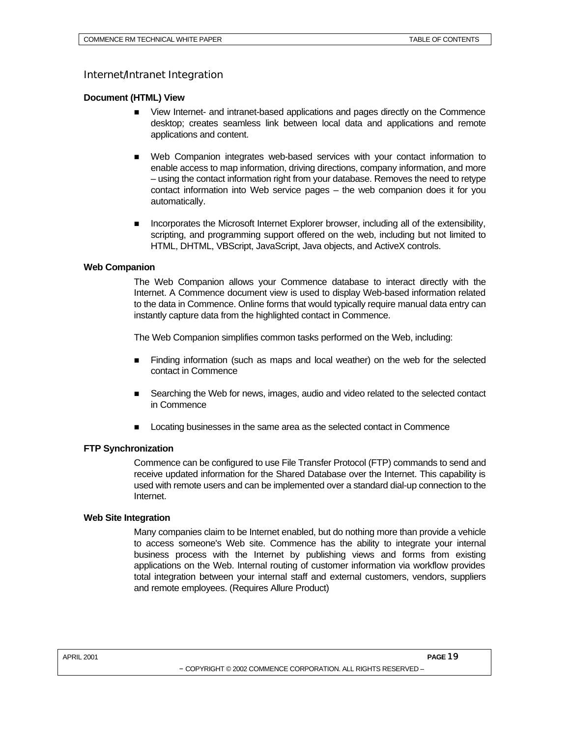## Internet/Intranet Integration

#### **Document (HTML) View**

- View Internet- and intranet-based applications and pages directly on the Commence desktop; creates seamless link between local data and applications and remote applications and content.
- n Web Companion integrates web-based services with your contact information to enable access to map information, driving directions, company information, and more – using the contact information right from your database. Removes the need to retype contact information into Web service pages – the web companion does it for you automatically.
- Incorporates the Microsoft Internet Explorer browser, including all of the extensibility, scripting, and programming support offered on the web, including but not limited to HTML, DHTML, VBScript, JavaScript, Java objects, and ActiveX controls.

#### **Web Companion**

The Web Companion allows your Commence database to interact directly with the Internet. A Commence document view is used to display Web-based information related to the data in Commence. Online forms that would typically require manual data entry can instantly capture data from the highlighted contact in Commence.

The Web Companion simplifies common tasks performed on the Web, including:

- n Finding information (such as maps and local weather) on the web for the selected contact in Commence
- Searching the Web for news, images, audio and video related to the selected contact in Commence
- Locating businesses in the same area as the selected contact in Commence

## **FTP Synchronization**

Commence can be configured to use File Transfer Protocol (FTP) commands to send and receive updated information for the Shared Database over the Internet. This capability is used with remote users and can be implemented over a standard dial-up connection to the Internet.

#### **Web Site Integration**

Many companies claim to be Internet enabled, but do nothing more than provide a vehicle to access someone's Web site. Commence has the ability to integrate your internal business process with the Internet by publishing views and forms from existing applications on the Web. Internal routing of customer information via workflow provides total integration between your internal staff and external customers, vendors, suppliers and remote employees. (Requires Allure Product)

<sup>–</sup> COPYRIGHT © 2002 COMMENCE CORPORATION. ALL RIGHTS RESERVED –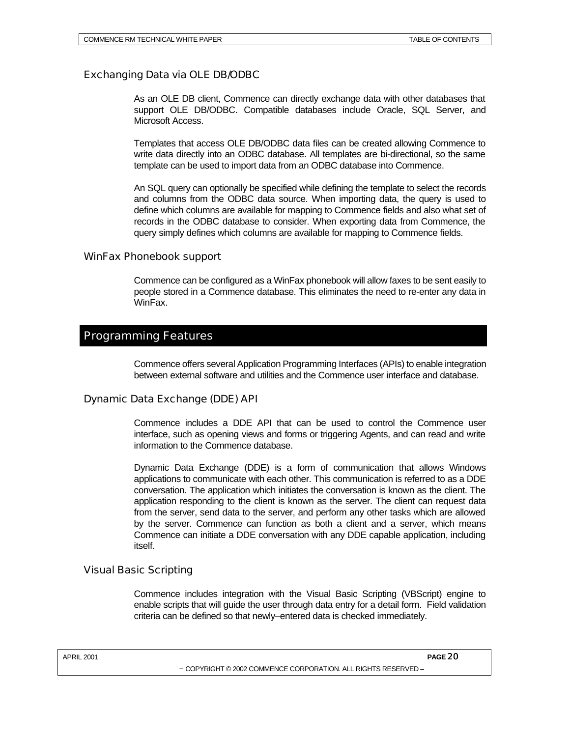## Exchanging Data via OLE DB/ODBC

As an OLE DB client, Commence can directly exchange data with other databases that support OLE DB/ODBC. Compatible databases include Oracle, SQL Server, and Microsoft Access.

Templates that access OLE DB/ODBC data files can be created allowing Commence to write data directly into an ODBC database. All templates are bi-directional, so the same template can be used to import data from an ODBC database into Commence.

An SQL query can optionally be specified while defining the template to select the records and columns from the ODBC data source. When importing data, the query is used to define which columns are available for mapping to Commence fields and also what set of records in the ODBC database to consider. When exporting data from Commence, the query simply defines which columns are available for mapping to Commence fields.

## WinFax Phonebook support

Commence can be configured as a WinFax phonebook will allow faxes to be sent easily to people stored in a Commence database. This eliminates the need to re-enter any data in WinFax.

## Programming Features

Commence offers several Application Programming Interfaces (APIs) to enable integration between external software and utilities and the Commence user interface and database.

## Dynamic Data Exchange (DDE) API

Commence includes a DDE API that can be used to control the Commence user interface, such as opening views and forms or triggering Agents, and can read and write information to the Commence database.

Dynamic Data Exchange (DDE) is a form of communication that allows Windows applications to communicate with each other. This communication is referred to as a DDE conversation. The application which initiates the conversation is known as the client. The application responding to the client is known as the server. The client can request data from the server, send data to the server, and perform any other tasks which are allowed by the server. Commence can function as both a client and a server, which means Commence can initiate a DDE conversation with any DDE capable application, including itself.

## Visual Basic Scripting

Commence includes integration with the Visual Basic Scripting (VBScript) engine to enable scripts that will guide the user through data entry for a detail form. Field validation criteria can be defined so that newly–entered data is checked immediately.

| <b>APRIL 2001</b> | PAGE <sub>20</sub> |
|-------------------|--------------------|
|                   |                    |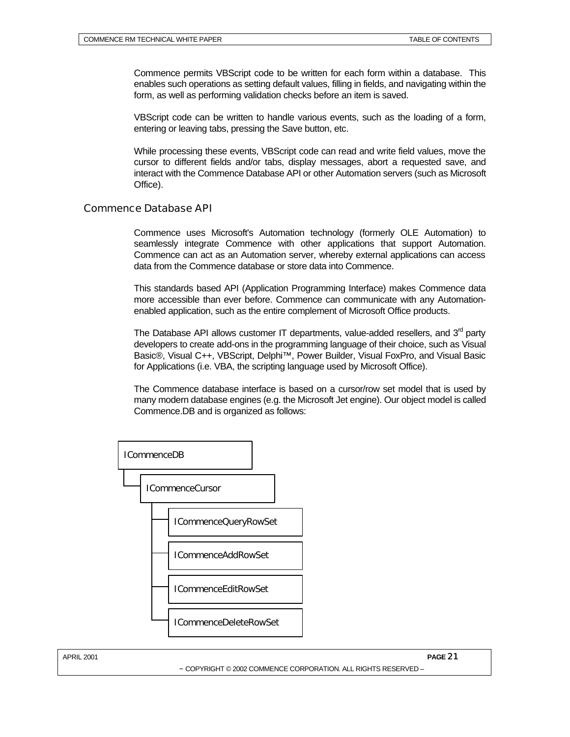Commence permits VBScript code to be written for each form within a database. This enables such operations as setting default values, filling in fields, and navigating within the form, as well as performing validation checks before an item is saved.

VBScript code can be written to handle various events, such as the loading of a form, entering or leaving tabs, pressing the Save button, etc.

While processing these events, VBScript code can read and write field values, move the cursor to different fields and/or tabs, display messages, abort a requested save, and interact with the Commence Database API or other Automation servers (such as Microsoft Office).

## Commence Database API

Commence uses Microsoft's Automation technology (formerly OLE Automation) to seamlessly integrate Commence with other applications that support Automation. Commence can act as an Automation server, whereby external applications can access data from the Commence database or store data into Commence.

This standards based API (Application Programming Interface) makes Commence data more accessible than ever before. Commence can communicate with any Automationenabled application, such as the entire complement of Microsoft Office products.

The Database API allows customer IT departments, value-added resellers, and  $3<sup>rd</sup>$  party developers to create add-ons in the programming language of their choice, such as Visual Basic®, Visual C++, VBScript, Delphi™, Power Builder, Visual FoxPro, and Visual Basic for Applications (i.e. VBA, the scripting language used by Microsoft Office).

The Commence database interface is based on a cursor/row set model that is used by many modern database engines (e.g. the Microsoft Jet engine). Our object model is called Commence.DB and is organized as follows: